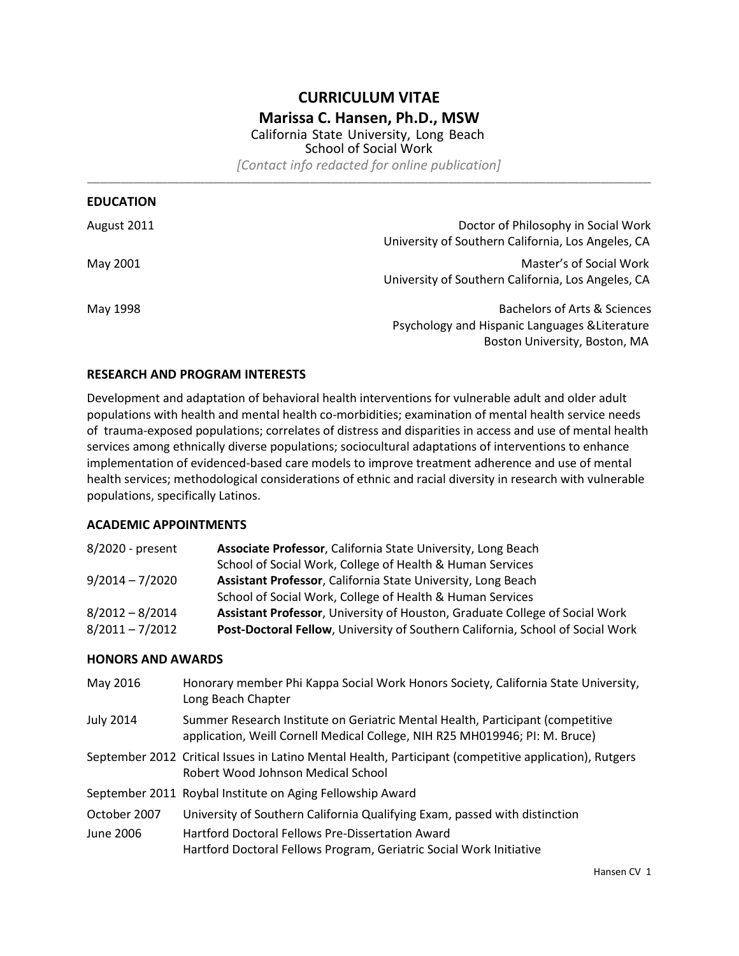# **CURRICULUM VITAE Marissa C. Hansen, Ph.D., MSW**

California State University, Long Beach School of Social Work *[Contact info redacted for online publication]*

\_\_\_\_\_\_\_\_\_\_\_\_\_\_\_\_\_\_\_\_\_\_\_\_\_\_\_\_\_\_\_\_\_\_\_\_\_\_\_\_\_\_\_\_\_\_\_\_\_\_\_\_\_\_\_\_\_\_\_\_\_\_\_\_\_\_\_\_\_\_\_\_\_\_\_\_\_\_\_\_\_\_\_\_\_\_\_\_\_\_\_\_\_\_\_\_\_\_\_\_\_\_\_\_\_\_\_\_\_\_\_\_\_\_\_\_\_\_\_\_\_\_\_\_\_\_\_\_\_\_\_\_\_\_

| <b>EDUCATION</b> |                                                    |
|------------------|----------------------------------------------------|
| August 2011      | Doctor of Philosophy in Social Work                |
|                  | University of Southern California, Los Angeles, CA |
| May 2001         | Master's of Social Work                            |
|                  | University of Southern California, Los Angeles, CA |
| May 1998         | Bachelors of Arts & Sciences                       |
|                  | Psychology and Hispanic Languages & Literature     |
|                  | Boston University, Boston, MA                      |

# **RESEARCH AND PROGRAM INTERESTS**

Development and adaptation of behavioral health interventions for vulnerable adult and older adult populations with health and mental health co-morbidities; examination of mental health service needs of trauma-exposed populations; correlates of distress and disparities in access and use of mental health services among ethnically diverse populations; sociocultural adaptations of interventions to enhance implementation of evidenced-based care models to improve treatment adherence and use of mental health services; methodological considerations of ethnic and racial diversity in research with vulnerable populations, specifically Latinos.

### **ACADEMIC APPOINTMENTS**

| 8/2020 - present  | Associate Professor, California State University, Long Beach                   |
|-------------------|--------------------------------------------------------------------------------|
|                   | School of Social Work, College of Health & Human Services                      |
| $9/2014 - 7/2020$ | Assistant Professor, California State University, Long Beach                   |
|                   | School of Social Work, College of Health & Human Services                      |
| $8/2012 - 8/2014$ | Assistant Professor, University of Houston, Graduate College of Social Work    |
| $8/2011 - 7/2012$ | Post-Doctoral Fellow, University of Southern California, School of Social Work |

#### **HONORS AND AWARDS**

| May 2016         | Honorary member Phi Kappa Social Work Honors Society, California State University,<br>Long Beach Chapter                                                      |
|------------------|---------------------------------------------------------------------------------------------------------------------------------------------------------------|
| <b>July 2014</b> | Summer Research Institute on Geriatric Mental Health, Participant (competitive<br>application, Weill Cornell Medical College, NIH R25 MH019946; PI: M. Bruce) |
|                  | September 2012 Critical Issues in Latino Mental Health, Participant (competitive application), Rutgers<br>Robert Wood Johnson Medical School                  |
|                  | September 2011 Roybal Institute on Aging Fellowship Award                                                                                                     |
| October 2007     | University of Southern California Qualifying Exam, passed with distinction                                                                                    |
| June 2006        | Hartford Doctoral Fellows Pre-Dissertation Award<br>Hartford Doctoral Fellows Program, Geriatric Social Work Initiative                                       |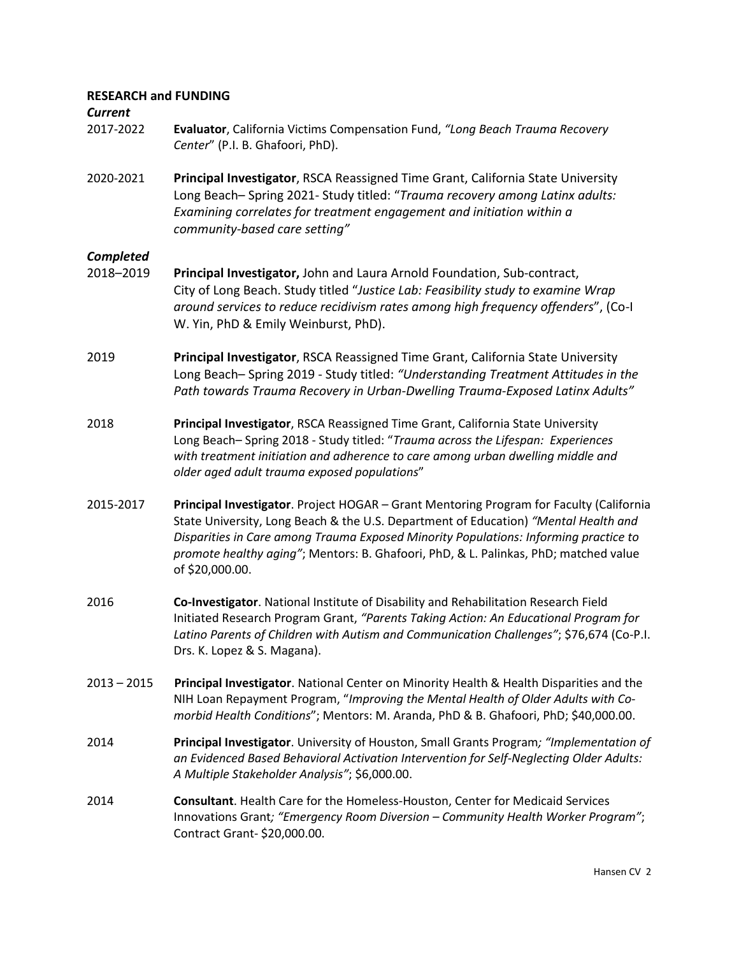# **RESEARCH and FUNDING**

# *Current*

- 2017-2022 **Evaluator**, California Victims Compensation Fund, *"Long Beach Trauma Recovery Center*" (P.I. B. Ghafoori, PhD).
- 2020-2021 **Principal Investigator**, RSCA Reassigned Time Grant, California State University Long Beach– Spring 2021- Study titled: "*Trauma recovery among Latinx adults: Examining correlates for treatment engagement and initiation within a community-based care setting"*

# *Completed*

- 2018–2019 **Principal Investigator,** John and Laura Arnold Foundation, Sub-contract, City of Long Beach. Study titled "*Justice Lab: Feasibility study to examine Wrap around services to reduce recidivism rates among high frequency offenders*", (Co-I W. Yin, PhD & Emily Weinburst, PhD).
- 2019 **Principal Investigator**, RSCA Reassigned Time Grant, California State University Long Beach– Spring 2019 - Study titled: *"Understanding Treatment Attitudes in the Path towards Trauma Recovery in Urban-Dwelling Trauma-Exposed Latinx Adults"*
- 2018 **Principal Investigator**, RSCA Reassigned Time Grant, California State University Long Beach– Spring 2018 - Study titled: "*Trauma across the Lifespan: Experiences with treatment initiation and adherence to care among urban dwelling middle and older aged adult trauma exposed populations*"
- 2015-2017 **Principal Investigator**. Project HOGAR Grant Mentoring Program for Faculty (California State University, Long Beach & the U.S. Department of Education) *"Mental Health and Disparities in Care among Trauma Exposed Minority Populations: Informing practice to promote healthy aging"*; Mentors: B. Ghafoori, PhD, & L. Palinkas, PhD; matched value of \$20,000.00.
- 2016 **Co-Investigator**. National Institute of Disability and Rehabilitation Research Field Initiated Research Program Grant, *"Parents Taking Action: An Educational Program for Latino Parents of Children with Autism and Communication Challenges"*; \$76,674 (Co-P.I. Drs. K. Lopez & S. Magana).
- 2013 2015 **Principal Investigator**. National Center on Minority Health & Health Disparities and the NIH Loan Repayment Program, "*Improving the Mental Health of Older Adults with Comorbid Health Conditions*"; Mentors: M. Aranda, PhD & B. Ghafoori, PhD; \$40,000.00.
- 2014 **Principal Investigator**. University of Houston, Small Grants Program*; "Implementation of an Evidenced Based Behavioral Activation Intervention for Self-Neglecting Older Adults: A Multiple Stakeholder Analysis"*; \$6,000.00.
- 2014 **Consultant**. Health Care for the Homeless-Houston, Center for Medicaid Services Innovations Grant*; "Emergency Room Diversion – Community Health Worker Program"*; Contract Grant- \$20,000.00.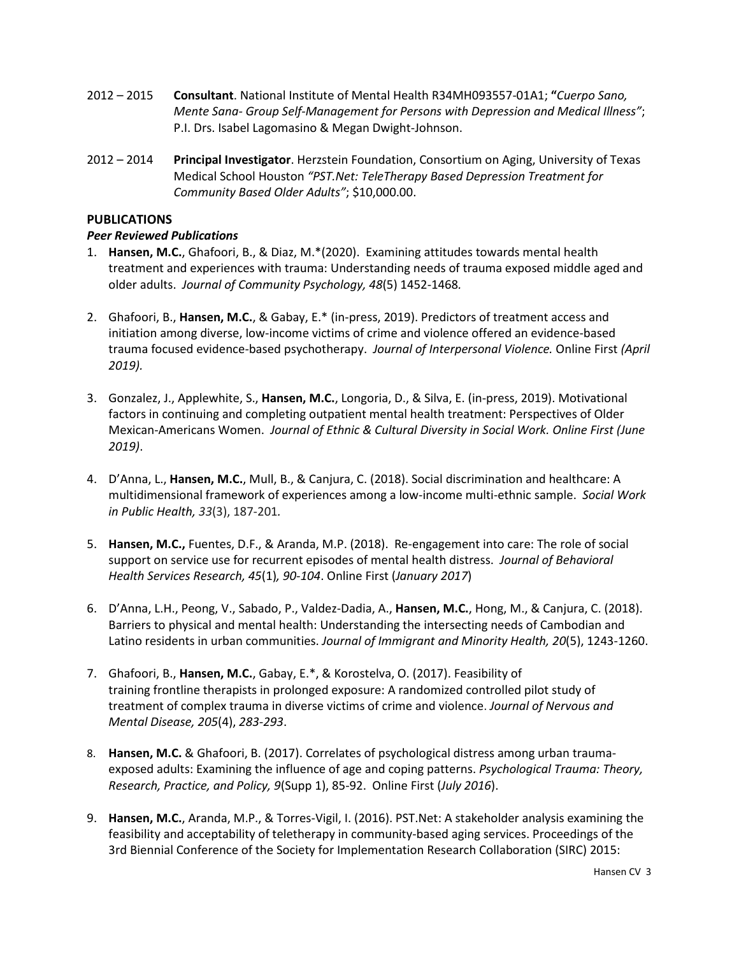- 2012 2015 **Consultant**. National Institute of Mental Health R34MH093557-01A1; **"***Cuerpo Sano, Mente Sana- Group Self-Management for Persons with Depression and Medical Illness"*; P.I. Drs. Isabel Lagomasino & Megan Dwight-Johnson.
- 2012 2014 **Principal Investigator**. Herzstein Foundation, Consortium on Aging, University of Texas Medical School Houston *"PST.Net: TeleTherapy Based Depression Treatment for Community Based Older Adults"*; \$10,000.00.

# **PUBLICATIONS**

# *Peer Reviewed Publications*

- 1. **Hansen, M.C.**, Ghafoori, B., & Diaz, M.\*(2020). Examining attitudes towards mental health treatment and experiences with trauma: Understanding needs of trauma exposed middle aged and older adults. *Journal of Community Psychology, 48*(5) 1452-1468*.*
- 2. Ghafoori, B., **Hansen, M.C.**, & Gabay, E.\* (in-press, 2019). Predictors of treatment access and initiation among diverse, low-income victims of crime and violence offered an evidence-based trauma focused evidence-based psychotherapy. *Journal of Interpersonal Violence.* Online First *(April 2019).*
- 3. Gonzalez, J., Applewhite, S., **Hansen, M.C.**, Longoria, D., & Silva, E. (in-press, 2019). Motivational factors in continuing and completing outpatient mental health treatment: Perspectives of Older Mexican-Americans Women. *Journal of Ethnic & Cultural Diversity in Social Work. Online First (June 2019)*.
- 4. D'Anna, L., **Hansen, M.C.**, Mull, B., & Canjura, C. (2018). Social discrimination and healthcare: A multidimensional framework of experiences among a low-income multi-ethnic sample. *Social Work in Public Health, 33*(3), 187-201*.*
- 5. **Hansen, M.C.,** Fuentes, D.F., & Aranda, M.P. (2018). Re-engagement into care: The role of social support on service use for recurrent episodes of mental health distress. *Journal of Behavioral Health Services Research, 45*(1)*, 90-104*. Online First (*January 2017*)
- 6. D'Anna, L.H., Peong, V., Sabado, P., Valdez-Dadia, A., **Hansen, M.C.**, Hong, M., & Canjura, C. (2018). Barriers to physical and mental health: Understanding the intersecting needs of Cambodian and Latino residents in urban communities. *Journal of Immigrant and Minority Health, 20*(5), 1243-1260.
- 7. Ghafoori, B., **Hansen, M.C.**, Gabay, E.\*, & Korostelva, O. (2017). Feasibility of training frontline therapists in prolonged exposure: A randomized controlled pilot study of treatment of complex trauma in diverse victims of crime and violence. *Journal of Nervous and Mental Disease, 205*(4), *283-293*.
- 8. **Hansen, M.C.** & Ghafoori, B. (2017). Correlates of psychological distress among urban traumaexposed adults: Examining the influence of age and coping patterns. *Psychological Trauma: Theory, Research, Practice, and Policy, 9*(Supp 1), 85-92.Online First (*July 2016*).
- 9. **Hansen, M.C.**, Aranda, M.P., & Torres-Vigil, I. (2016). PST.Net: A stakeholder analysis examining the feasibility and acceptability of teletherapy in community-based aging services. Proceedings of the 3rd Biennial Conference of the Society for Implementation Research Collaboration (SIRC) 2015: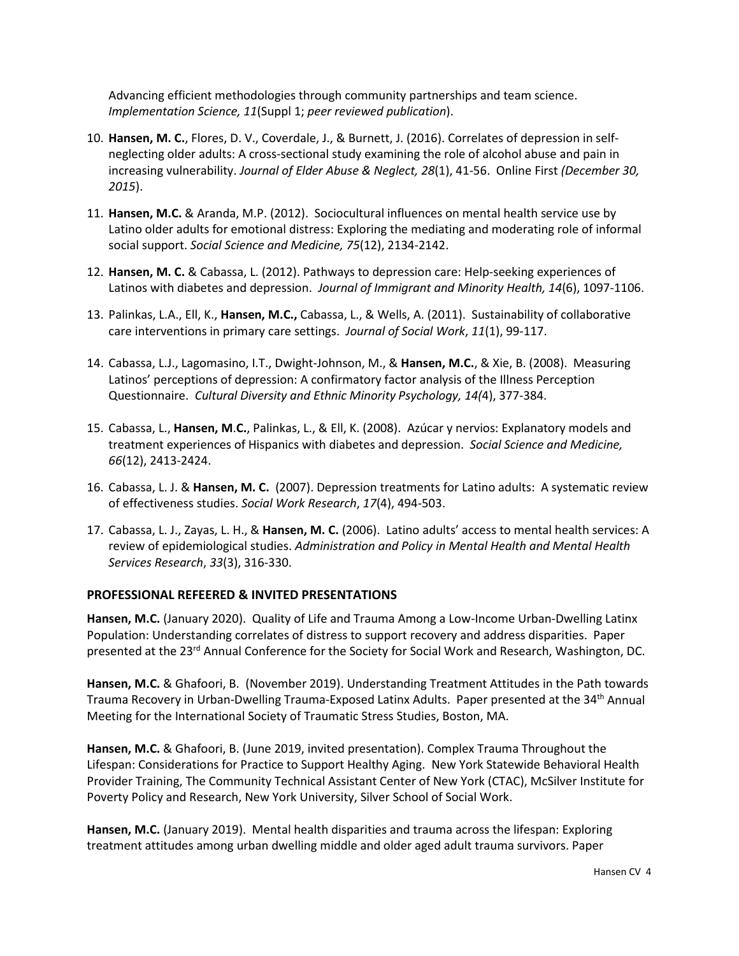Advancing efficient methodologies through community partnerships and team science. *Implementation Science, 11*(Suppl 1; *peer reviewed publication*).

- 10. **Hansen, M. C.**, Flores, D. V., Coverdale, J., & Burnett, J. (2016). Correlates of depression in selfneglecting older adults: A cross-sectional study examining the role of alcohol abuse and pain in increasing vulnerability. *Journal of Elder Abuse & Neglect, 28*(1), 41-56. Online First *(December 30, 2015*).
- 11. **Hansen, M.C.** & Aranda, M.P. (2012). Sociocultural influences on mental health service use by Latino older adults for emotional distress: Exploring the mediating and moderating role of informal social support. *Social Science and Medicine, 75*(12), 2134-2142.
- 12. **Hansen, M. C.** & Cabassa, L. (2012). Pathways to depression care: Help-seeking experiences of Latinos with diabetes and depression. *Journal of Immigrant and Minority Health, 14*(6), 1097-1106.
- 13. Palinkas, L.A., Ell, K., **Hansen, M.C.,** Cabassa, L., & Wells, A. (2011). Sustainability of collaborative care interventions in primary care settings. *Journal of Social Work*, *11*(1), 99-117.
- 14. Cabassa, L.J., Lagomasino, I.T., Dwight-Johnson, M., & **Hansen, M.C.**, & Xie, B. (2008). Measuring Latinos' perceptions of depression: A confirmatory factor analysis of the Illness Perception Questionnaire. *Cultural Diversity and Ethnic Minority Psychology, 14(*4), 377-384.
- 15. Cabassa, L., **Hansen, M**.**C.**, Palinkas, L., & Ell, K. (2008). Azúcar y nervios: Explanatory models and treatment experiences of Hispanics with diabetes and depression. *Social Science and Medicine, 66*(12), 2413-2424.
- 16. Cabassa, L. J. & **Hansen, M. C.** (2007). Depression treatments for Latino adults: A systematic review of effectiveness studies. *Social Work Research*, *17*(4), 494-503.
- 17. Cabassa, L. J., Zayas, L. H., & **Hansen, M. C.** (2006). Latino adults' access to mental health services: A review of epidemiological studies. *Administration and Policy in Mental Health and Mental Health Services Research*, *33*(3), 316-330.

#### **PROFESSIONAL REFEERED & INVITED PRESENTATIONS**

**Hansen, M.C.** (January 2020). Quality of Life and Trauma Among a Low-Income Urban-Dwelling Latinx Population: Understanding correlates of distress to support recovery and address disparities. Paper presented at the 23<sup>rd</sup> Annual Conference for the Society for Social Work and Research, Washington, DC.

**Hansen, M.C.** & Ghafoori, B. (November 2019). Understanding Treatment Attitudes in the Path towards Trauma Recovery in Urban-Dwelling Trauma-Exposed Latinx Adults. Paper presented at the 34<sup>th</sup> Annual Meeting for the International Society of Traumatic Stress Studies, Boston, MA.

**Hansen, M.C.** & Ghafoori, B. (June 2019, invited presentation). Complex Trauma Throughout the Lifespan: Considerations for Practice to Support Healthy Aging. New York Statewide Behavioral Health Provider Training, The Community Technical Assistant Center of New York (CTAC), McSilver Institute for Poverty Policy and Research, New York University, Silver School of Social Work.

**Hansen, M.C.** (January 2019). Mental health disparities and trauma across the lifespan: Exploring treatment attitudes among urban dwelling middle and older aged adult trauma survivors. Paper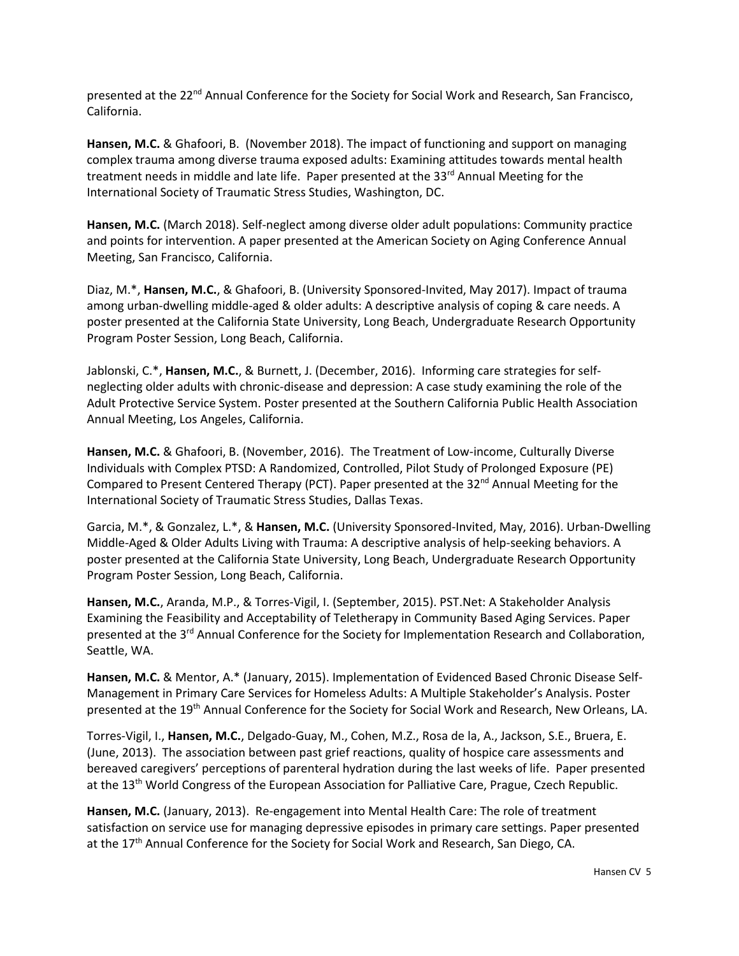presented at the 22<sup>nd</sup> Annual Conference for the Society for Social Work and Research, San Francisco, California.

**Hansen, M.C.** & Ghafoori, B. (November 2018). The impact of functioning and support on managing complex trauma among diverse trauma exposed adults: Examining attitudes towards mental health treatment needs in middle and late life. Paper presented at the 33<sup>rd</sup> Annual Meeting for the International Society of Traumatic Stress Studies, Washington, DC.

**Hansen, M.C.** (March 2018). Self-neglect among diverse older adult populations: Community practice and points for intervention. A paper presented at the American Society on Aging Conference Annual Meeting, San Francisco, California.

Diaz, M.\*, **Hansen, M.C.**, & Ghafoori, B. (University Sponsored-Invited, May 2017). Impact of trauma among urban-dwelling middle-aged & older adults: A descriptive analysis of coping & care needs. A poster presented at the California State University, Long Beach, Undergraduate Research Opportunity Program Poster Session, Long Beach, California.

Jablonski, C.\*, **Hansen, M.C.**, & Burnett, J. (December, 2016). Informing care strategies for selfneglecting older adults with chronic-disease and depression: A case study examining the role of the Adult Protective Service System. Poster presented at the Southern California Public Health Association Annual Meeting, Los Angeles, California.

**Hansen, M.C.** & Ghafoori, B. (November, 2016). The Treatment of Low-income, Culturally Diverse Individuals with Complex PTSD: A Randomized, Controlled, Pilot Study of Prolonged Exposure (PE) Compared to Present Centered Therapy (PCT). Paper presented at the  $32<sup>nd</sup>$  Annual Meeting for the International Society of Traumatic Stress Studies, Dallas Texas.

Garcia, M.\*, & Gonzalez, L.\*, & **Hansen, M.C.** (University Sponsored-Invited, May, 2016). Urban-Dwelling Middle-Aged & Older Adults Living with Trauma: A descriptive analysis of help-seeking behaviors. A poster presented at the California State University, Long Beach, Undergraduate Research Opportunity Program Poster Session, Long Beach, California.

**Hansen, M.C.**, Aranda, M.P., & Torres-Vigil, I. (September, 2015). PST.Net: A Stakeholder Analysis Examining the Feasibility and Acceptability of Teletherapy in Community Based Aging Services. Paper presented at the 3<sup>rd</sup> Annual Conference for the Society for Implementation Research and Collaboration, Seattle, WA.

**Hansen, M.C.** & Mentor, A.\* (January, 2015). Implementation of Evidenced Based Chronic Disease Self-Management in Primary Care Services for Homeless Adults: A Multiple Stakeholder's Analysis. Poster presented at the 19th Annual Conference for the Society for Social Work and Research, New Orleans, LA.

Torres-Vigil, I., **Hansen, M.C.**, Delgado-Guay, M., Cohen, M.Z., Rosa de la, A., Jackson, S.E., Bruera, E. (June, 2013). The association between past grief reactions, quality of hospice care assessments and bereaved caregivers' perceptions of parenteral hydration during the last weeks of life. Paper presented at the 13<sup>th</sup> World Congress of the European Association for Palliative Care, Prague, Czech Republic.

**Hansen, M.C.** (January, 2013). Re-engagement into Mental Health Care: The role of treatment satisfaction on service use for managing depressive episodes in primary care settings. Paper presented at the 17<sup>th</sup> Annual Conference for the Society for Social Work and Research, San Diego, CA.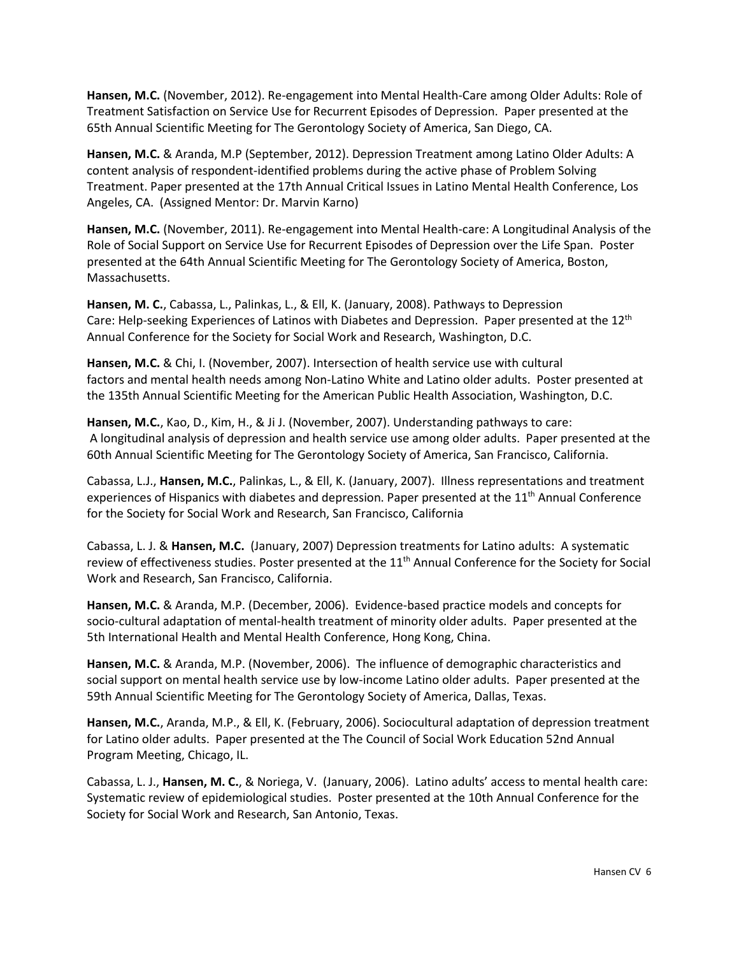**Hansen, M.C.** (November, 2012). Re-engagement into Mental Health-Care among Older Adults: Role of Treatment Satisfaction on Service Use for Recurrent Episodes of Depression. Paper presented at the 65th Annual Scientific Meeting for The Gerontology Society of America, San Diego, CA.

**Hansen, M.C.** & Aranda, M.P (September, 2012). Depression Treatment among Latino Older Adults: A content analysis of respondent-identified problems during the active phase of Problem Solving Treatment. Paper presented at the 17th Annual Critical Issues in Latino Mental Health Conference, Los Angeles, CA.(Assigned Mentor: Dr. Marvin Karno)

**Hansen, M.C.** (November, 2011). Re-engagement into Mental Health-care: A Longitudinal Analysis of the Role of Social Support on Service Use for Recurrent Episodes of Depression over the Life Span. Poster presented at the 64th Annual Scientific Meeting for The Gerontology Society of America, Boston, Massachusetts.

**Hansen, M. C.**, Cabassa, L., Palinkas, L., & Ell, K. (January, 2008). Pathways to Depression Care: Help-seeking Experiences of Latinos with Diabetes and Depression. Paper presented at the 12<sup>th</sup> Annual Conference for the Society for Social Work and Research, Washington, D.C.

**Hansen, M.C.** & Chi, I. (November, 2007). Intersection of health service use with cultural factors and mental health needs among Non-Latino White and Latino older adults. Poster presented at the 135th Annual Scientific Meeting for the American Public Health Association, Washington, D.C.

**Hansen, M.C.**, Kao, D., Kim, H., & Ji J. (November, 2007). Understanding pathways to care: A longitudinal analysis of depression and health service use among older adults. Paper presented at the 60th Annual Scientific Meeting for The Gerontology Society of America, San Francisco, California.

Cabassa, L.J., **Hansen, M.C.**, Palinkas, L., & Ell, K. (January, 2007). Illness representations and treatment experiences of Hispanics with diabetes and depression. Paper presented at the 11<sup>th</sup> Annual Conference for the Society for Social Work and Research, San Francisco, California

Cabassa, L. J. & **Hansen, M.C.** (January, 2007) Depression treatments for Latino adults: A systematic review of effectiveness studies. Poster presented at the 11<sup>th</sup> Annual Conference for the Society for Social Work and Research, San Francisco, California.

**Hansen, M.C.** & Aranda, M.P. (December, 2006). Evidence-based practice models and concepts for socio-cultural adaptation of mental-health treatment of minority older adults. Paper presented at the 5th International Health and Mental Health Conference, Hong Kong, China.

**Hansen, M.C.** & Aranda, M.P. (November, 2006). The influence of demographic characteristics and social support on mental health service use by low-income Latino older adults. Paper presented at the 59th Annual Scientific Meeting for The Gerontology Society of America, Dallas, Texas.

**Hansen, M.C.**, Aranda, M.P., & Ell, K. (February, 2006). Sociocultural adaptation of depression treatment for Latino older adults. Paper presented at the The Council of Social Work Education 52nd Annual Program Meeting, Chicago, IL.

Cabassa, L. J., **Hansen, M. C.**, & Noriega, V. (January, 2006). Latino adults' access to mental health care: Systematic review of epidemiological studies. Poster presented at the 10th Annual Conference for the Society for Social Work and Research, San Antonio, Texas.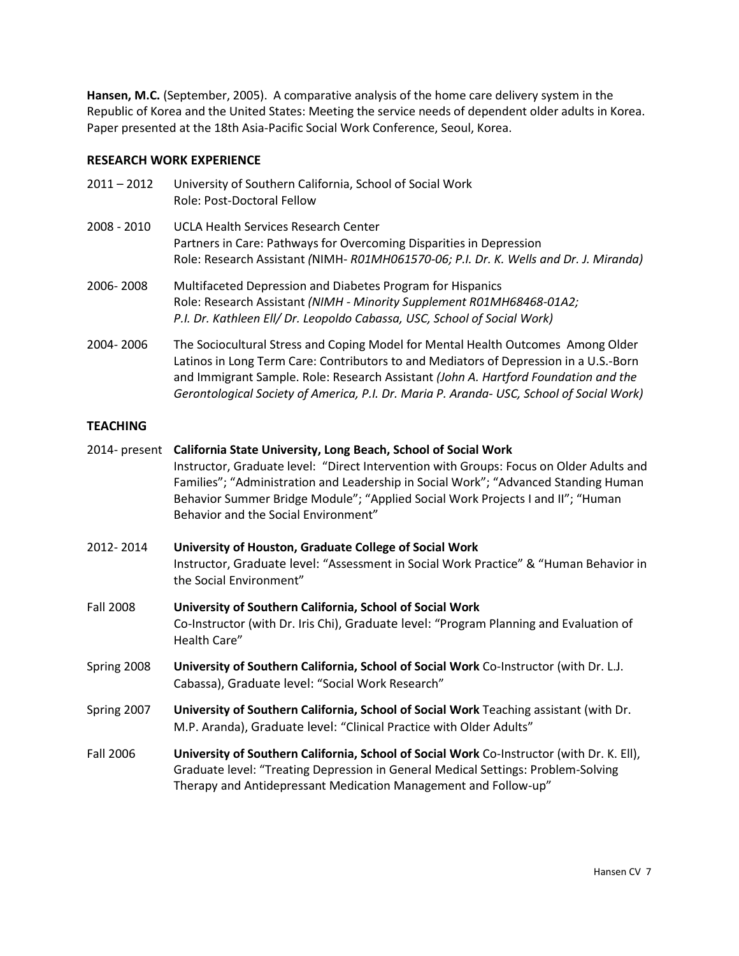**Hansen, M.C.** (September, 2005). A comparative analysis of the home care delivery system in the Republic of Korea and the United States: Meeting the service needs of dependent older adults in Korea. Paper presented at the 18th Asia-Pacific Social Work Conference, Seoul, Korea.

# **RESEARCH WORK EXPERIENCE**

| $2011 - 2012$ | University of Southern California, School of Social Work<br>Role: Post-Doctoral Fellow                                                                                                                                                                                                                                                                       |
|---------------|--------------------------------------------------------------------------------------------------------------------------------------------------------------------------------------------------------------------------------------------------------------------------------------------------------------------------------------------------------------|
| 2008 - 2010   | <b>UCLA Health Services Research Center</b><br>Partners in Care: Pathways for Overcoming Disparities in Depression<br>Role: Research Assistant (NIMH- R01MH061570-06; P.I. Dr. K. Wells and Dr. J. Miranda)                                                                                                                                                  |
| 2006-2008     | Multifaceted Depression and Diabetes Program for Hispanics<br>Role: Research Assistant (NIMH - Minority Supplement R01MH68468-01A2;<br>P.I. Dr. Kathleen Ell/ Dr. Leopoldo Cabassa, USC, School of Social Work)                                                                                                                                              |
| 2004-2006     | The Sociocultural Stress and Coping Model for Mental Health Outcomes Among Older<br>Latinos in Long Term Care: Contributors to and Mediators of Depression in a U.S.-Born<br>and Immigrant Sample. Role: Research Assistant (John A. Hartford Foundation and the<br>Gerontological Society of America, P.I. Dr. Maria P. Aranda- USC, School of Social Work) |

# **TEACHING**

|                  | 2014- present California State University, Long Beach, School of Social Work<br>Instructor, Graduate level: "Direct Intervention with Groups: Focus on Older Adults and<br>Families"; "Administration and Leadership in Social Work"; "Advanced Standing Human<br>Behavior Summer Bridge Module"; "Applied Social Work Projects I and II"; "Human<br>Behavior and the Social Environment" |
|------------------|-------------------------------------------------------------------------------------------------------------------------------------------------------------------------------------------------------------------------------------------------------------------------------------------------------------------------------------------------------------------------------------------|
| 2012-2014        | University of Houston, Graduate College of Social Work<br>Instructor, Graduate level: "Assessment in Social Work Practice" & "Human Behavior in<br>the Social Environment"                                                                                                                                                                                                                |
| <b>Fall 2008</b> | University of Southern California, School of Social Work<br>Co-Instructor (with Dr. Iris Chi), Graduate level: "Program Planning and Evaluation of<br>Health Care"                                                                                                                                                                                                                        |
| Spring 2008      | University of Southern California, School of Social Work Co-Instructor (with Dr. L.J.<br>Cabassa), Graduate level: "Social Work Research"                                                                                                                                                                                                                                                 |
| Spring 2007      | University of Southern California, School of Social Work Teaching assistant (with Dr.<br>M.P. Aranda), Graduate level: "Clinical Practice with Older Adults"                                                                                                                                                                                                                              |
| <b>Fall 2006</b> | University of Southern California, School of Social Work Co-Instructor (with Dr. K. Ell),<br>Graduate level: "Treating Depression in General Medical Settings: Problem-Solving<br>Therapy and Antidepressant Medication Management and Follow-up"                                                                                                                                         |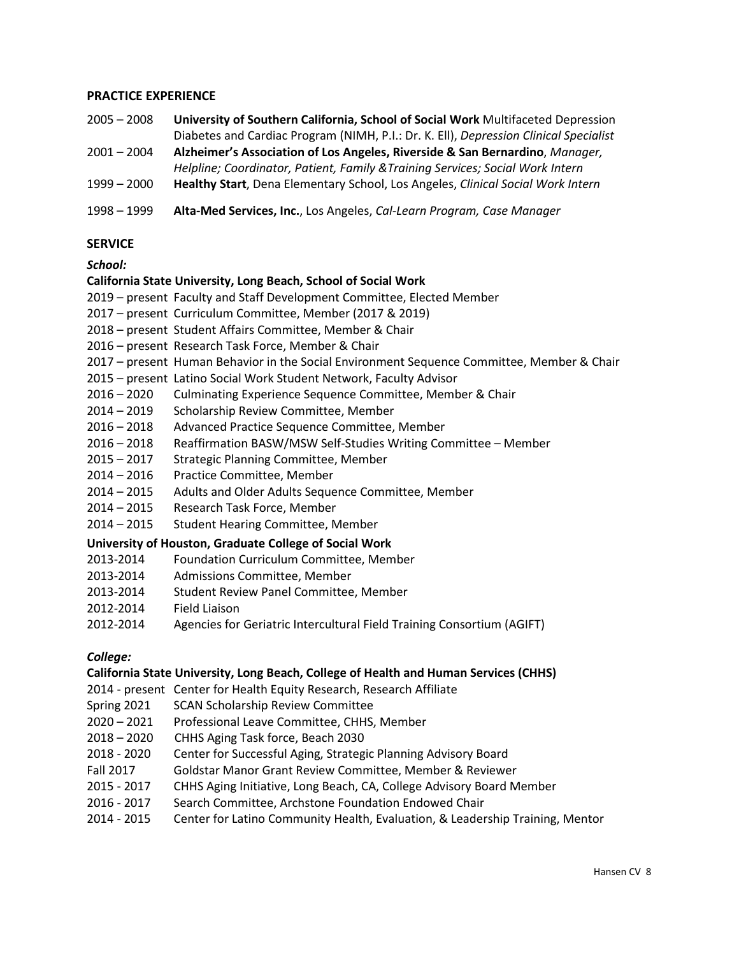### **PRACTICE EXPERIENCE**

- 2005 2008 **University of Southern California, School of Social Work** Multifaceted Depression Diabetes and Cardiac Program (NIMH, P.I.: Dr. K. Ell), *Depression Clinical Specialist*
- 2001 2004 **Alzheimer's Association of Los Angeles, Riverside & San Bernardino**, *Manager,*
- *Helpline; Coordinator, Patient, Family &Training Services; Social Work Intern*
- 1999 2000 **Healthy Start**, Dena Elementary School, Los Angeles, *Clinical Social Work Intern*
- 1998 1999 **Alta-Med Services, Inc.**, Los Angeles, *Cal-Learn Program, Case Manager*

# **SERVICE**

# *School:*

# **California State University, Long Beach, School of Social Work**

- 2019 present Faculty and Staff Development Committee, Elected Member
- 2017 present Curriculum Committee, Member (2017 & 2019)
- 2018 present Student Affairs Committee, Member & Chair
- 2016 present Research Task Force, Member & Chair
- 2017 present Human Behavior in the Social Environment Sequence Committee, Member & Chair
- 2015 present Latino Social Work Student Network, Faculty Advisor
- 2016 2020 Culminating Experience Sequence Committee, Member & Chair
- 2014 2019 Scholarship Review Committee, Member
- 2016 2018 Advanced Practice Sequence Committee, Member
- 2016 2018 Reaffirmation BASW/MSW Self-Studies Writing Committee Member
- 2015 2017 Strategic Planning Committee, Member
- 2014 2016 Practice Committee, Member
- 2014 2015 Adults and Older Adults Sequence Committee, Member
- 2014 2015 Research Task Force, Member
- 2014 2015 Student Hearing Committee, Member

#### **University of Houston, Graduate College of Social Work**

- 2013-2014 Foundation Curriculum Committee, Member
- 2013-2014 Admissions Committee, Member
- 2013-2014 Student Review Panel Committee, Member
- 2012-2014 Field Liaison
- 2012-2014 Agencies for Geriatric Intercultural Field Training Consortium (AGIFT)

### *College:*

#### **California State University, Long Beach, College of Health and Human Services (CHHS)**

2014 - present Center for Health Equity Research, Research Affiliate

- Spring 2021 SCAN Scholarship Review Committee
- 2020 2021 Professional Leave Committee, CHHS, Member
- 2018 2020 CHHS Aging Task force, Beach 2030
- 2018 2020 Center for Successful Aging, Strategic Planning Advisory Board
- Fall 2017 Goldstar Manor Grant Review Committee, Member & Reviewer
- 2015 2017 CHHS Aging Initiative, Long Beach, CA, College Advisory Board Member
- 2016 2017 Search Committee, Archstone Foundation Endowed Chair
- 2014 2015 Center for Latino Community Health, Evaluation, & Leadership Training, Mentor